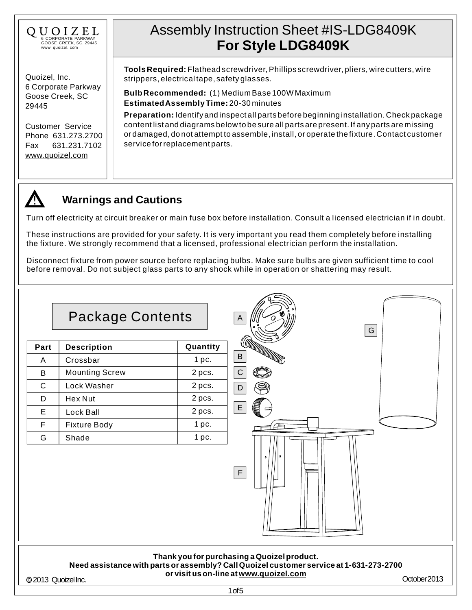

Quoizel, Inc. 6 Corporate Parkway Goose Creek, SC 29445

Customer Service Phone 631.273.2700 Fax 631.231.7102 [www.quoizel.com](http://www.quoizel.com)

# Assembly Instruction Sheet #IS-LDG8409K **For Style LDG8409K**

**Tools Required:** Flathead screwdriver,Phillips screwdriver, pliers, wire cutters, wire strippers, electrical tape, safety glasses.

**EstimatedAssembly Time:** 20-30 minutes **Bulb Recommended:** (1) Medium Base 100WMaximum

**Preparation:** Identify and inspect all parts before beginning installation. Check package content list and diagrams below to be sure all parts are present. If any parts are missing or damaged, do not attempt to assemble, install, or operate the fixture. Contact customer service for replacement parts.



## **Warnings and Cautions**

Turn off electricity at circuit breaker or main fuse box before installation. Consult a licensed electrician if in doubt.

These instructions are provided for your safety. It is very important you read them completely before installing the fixture. We strongly recommend that a licensed, professional electrician perform the installation.

Disconnect fixture from power source before replacing bulbs. Make sure bulbs are given sufficient time to cool before removal. Do not subject glass parts to any shock while in operation or shattering may result.



@2013 Quoizel Inc. Charles Christ, Louis Christ, Louis Christ, Louis Communication and Communication of Communication of Communication of Communication of Communication of Communication of Communication of Communication of

**or visit us on-line at[www.quoizel.com](http://www.quoizel.com)**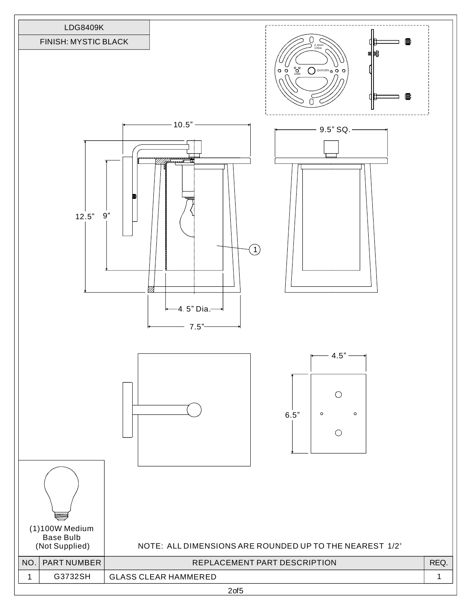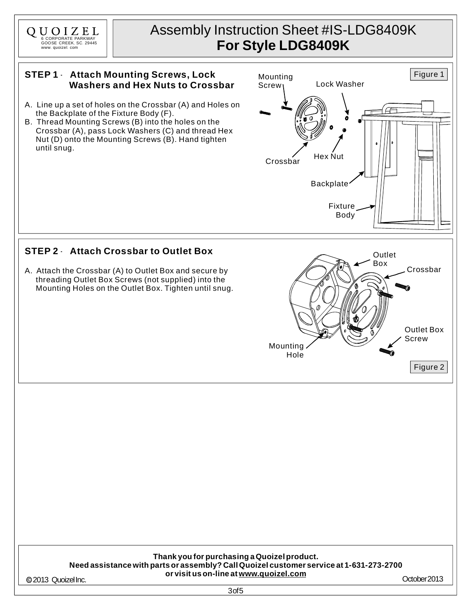

# Assembly Instruction Sheet #IS-LDG8409K **For Style LDG8409K**

Screw<sub>1</sub> Lock Washer

Mounting

### **STEP 1** - **Attach Mounting Screws, Lock Washers and Hex Nuts to Crossbar**

- A. Line up a set of holes on the Crossbar (A) and Holes on the Backplate of the Fixture Body (F).
- B. Thread Mounting Screws (B) into the holes on the Crossbar (A), pass Lock Washers (C) and thread Hex Nut (D) onto the Mounting Screws (B). Hand tighten until snug.

### **STEP 2** - **Attach Crossbar to Outlet Box**

A. Attach the Crossbar (A) to Outlet Box and secure by threading Outlet Box Screws (not supplied) into the Mounting Holes on the Outlet Box. Tighten until snug.



#### **Thank you for purchasing a Quoizelproduct. Need assistance with parts or assembly? CallQuoizel customer service at 1-631-273-2700 or visit us on-line at[www.quoizel.com](http://www.quoizel.com)** @2013 Quoizel Inc. Charles Christ, Louis Christ, Louis Christ, Louis Communication and Communication of Communication of Communication of Communication of Communication of Communication of Communication of Communication of

Figure 1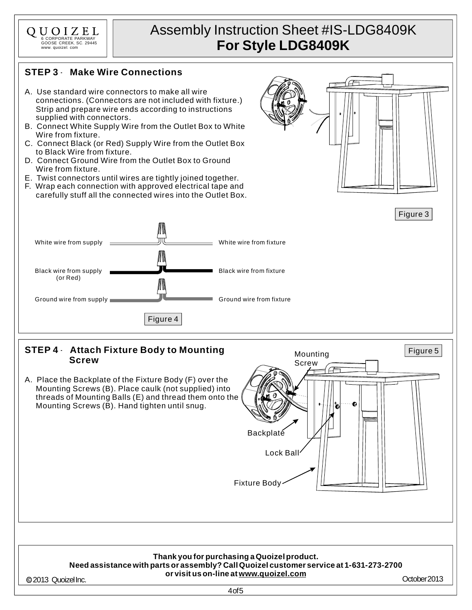

# Assembly Instruction Sheet #IS-LDG8409K **For Style LDG8409K**

## **STEP 3** - **Make Wire Connections**

- A. Use standard wire connectors to make all wire connections. (Connectors are not included with fixture.) Strip and prepare wire ends according to instructions supplied with connectors.
- B. Connect White Supply Wire from the Outlet Box to White Wire from fixture.
- C. Connect Black (or Red) Supply Wire from the Outlet Box to Black Wire from fixture.
- D. Connect Ground Wire from the Outlet Box to Ground Wire from fixture.
- E. Twist connectors until wires are tightly joined together.
- F. Wrap each connection with approved electrical tape and carefully stuff all the connected wires into the Outlet Box.



Figure 3



### **STEP 4** - **Attach Fixture Body to Mounting Screw**

A. Place the Backplate of the Fixture Body (F) over the Mounting Screws (B). Place caulk (not supplied) into threads of Mounting Balls (E) and thread them onto the Mounting Screws (B). Hand tighten until snug.



#### **Thank you for purchasing a Quoizelproduct. Need assistance with parts or assembly? CallQuoizel customer service at 1-631-273-2700 or visit us on-line at[www.quoizel.com](http://www.quoizel.com)**

@2013 Quoizel Inc. Charles Christ, Louis Christ, Louis Christ, Louis Communication and Communication of Communication of Communication of Communication of Communication of Communication of Communication of Communication of

4of5